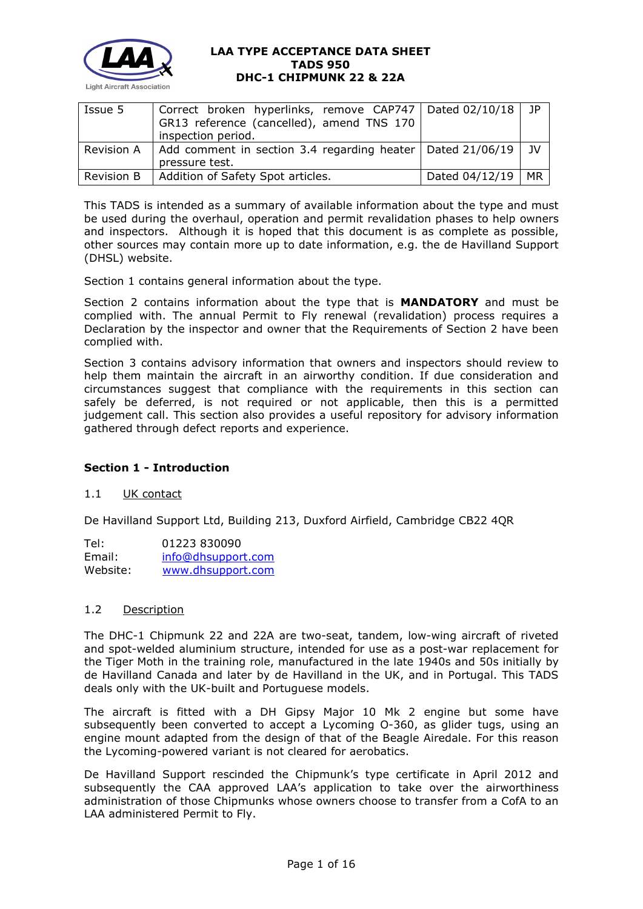

| GR13 reference (cancelled), amend TNS 170 |                    | 1P                                                                                                                        |
|-------------------------------------------|--------------------|---------------------------------------------------------------------------------------------------------------------------|
|                                           |                    |                                                                                                                           |
| pressure test.                            |                    | $_{\rm 1V}$                                                                                                               |
| Addition of Safety Spot articles.         | Dated 04/12/19     | $M_{\rm R}$                                                                                                               |
|                                           | inspection period. | Correct broken hyperlinks, remove CAP747   Dated 02/10/18<br>Add comment in section 3.4 regarding heater   Dated 21/06/19 |

This TADS is intended as a summary of available information about the type and must be used during the overhaul, operation and permit revalidation phases to help owners and inspectors. Although it is hoped that this document is as complete as possible, other sources may contain more up to date information, e.g. the de Havilland Support (DHSL) website.

Section 1 contains general information about the type.

Section 2 contains information about the type that is **MANDATORY** and must be complied with. The annual Permit to Fly renewal (revalidation) process requires a Declaration by the inspector and owner that the Requirements of Section 2 have been complied with.

Section 3 contains advisory information that owners and inspectors should review to help them maintain the aircraft in an airworthy condition. If due consideration and circumstances suggest that compliance with the requirements in this section can safely be deferred, is not required or not applicable, then this is a permitted judgement call. This section also provides a useful repository for advisory information gathered through defect reports and experience.

### **Section 1 - Introduction**

### 1.1 UK contact

De Havilland Support Ltd, Building 213, Duxford Airfield, Cambridge CB22 4QR

Tel: 01223 830090<br>Email: info@dhsuppor [info@dhsupport.com](mailto:info@dhsupport.com) Website: [www.dhsupport.com](http://www.dhsupport.com/)

## 1.2 Description

The DHC-1 Chipmunk 22 and 22A are two-seat, tandem, low-wing aircraft of riveted and spot-welded aluminium structure, intended for use as a post-war replacement for the Tiger Moth in the training role, manufactured in the late 1940s and 50s initially by de Havilland Canada and later by de Havilland in the UK, and in Portugal. This TADS deals only with the UK-built and Portuguese models.

The aircraft is fitted with a DH Gipsy Major 10 Mk 2 engine but some have subsequently been converted to accept a Lycoming O-360, as glider tugs, using an engine mount adapted from the design of that of the Beagle Airedale. For this reason the Lycoming-powered variant is not cleared for aerobatics.

De Havilland Support rescinded the Chipmunk's type certificate in April 2012 and subsequently the CAA approved LAA's application to take over the airworthiness administration of those Chipmunks whose owners choose to transfer from a CofA to an LAA administered Permit to Fly.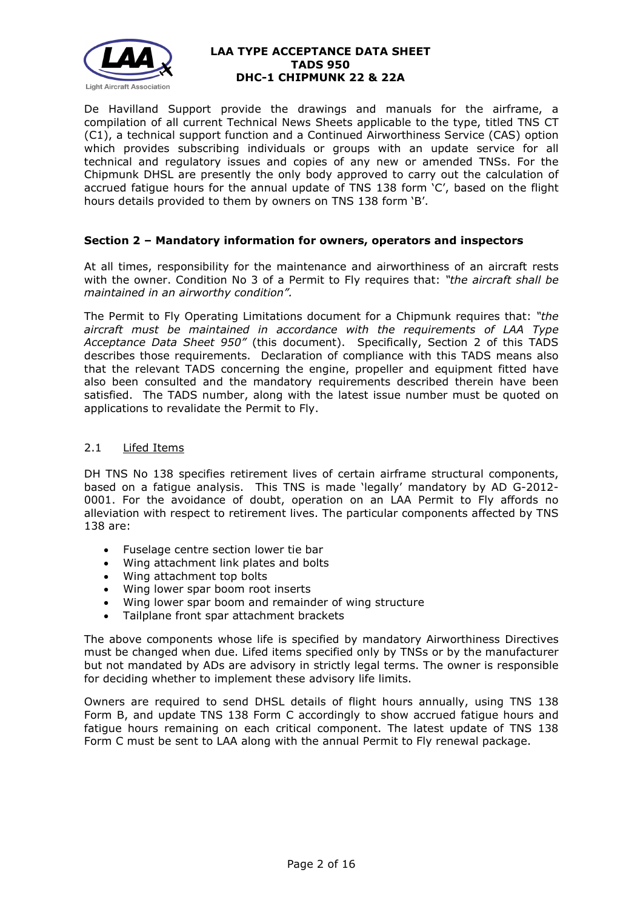

De Havilland Support provide the drawings and manuals for the airframe, a compilation of all current Technical News Sheets applicable to the type, titled TNS CT (C1), a technical support function and a Continued Airworthiness Service (CAS) option which provides subscribing individuals or groups with an update service for all technical and regulatory issues and copies of any new or amended TNSs. For the Chipmunk DHSL are presently the only body approved to carry out the calculation of accrued fatigue hours for the annual update of TNS 138 form 'C', based on the flight hours details provided to them by owners on TNS 138 form 'B'.

## **Section 2 – Mandatory information for owners, operators and inspectors**

At all times, responsibility for the maintenance and airworthiness of an aircraft rests with the owner. Condition No 3 of a Permit to Fly requires that: *"the aircraft shall be maintained in an airworthy condition".* 

The Permit to Fly Operating Limitations document for a Chipmunk requires that: *"the aircraft must be maintained in accordance with the requirements of LAA Type Acceptance Data Sheet 950"* (this document). Specifically, Section 2 of this TADS describes those requirements. Declaration of compliance with this TADS means also that the relevant TADS concerning the engine, propeller and equipment fitted have also been consulted and the mandatory requirements described therein have been satisfied. The TADS number, along with the latest issue number must be quoted on applications to revalidate the Permit to Fly.

### 2.1 Lifed Items

DH TNS No 138 specifies retirement lives of certain airframe structural components, based on a fatigue analysis. This TNS is made 'legally' mandatory by AD G-2012- 0001. For the avoidance of doubt, operation on an LAA Permit to Fly affords no alleviation with respect to retirement lives. The particular components affected by TNS 138 are:

- Fuselage centre section lower tie bar
- Wing attachment link plates and bolts
- Wing attachment top bolts
- Wing lower spar boom root inserts
- Wing lower spar boom and remainder of wing structure
- Tailplane front spar attachment brackets

The above components whose life is specified by mandatory Airworthiness Directives must be changed when due. Lifed items specified only by TNSs or by the manufacturer but not mandated by ADs are advisory in strictly legal terms. The owner is responsible for deciding whether to implement these advisory life limits.

Owners are required to send DHSL details of flight hours annually, using TNS 138 Form B, and update TNS 138 Form C accordingly to show accrued fatigue hours and fatigue hours remaining on each critical component. The latest update of TNS 138 Form C must be sent to LAA along with the annual Permit to Fly renewal package.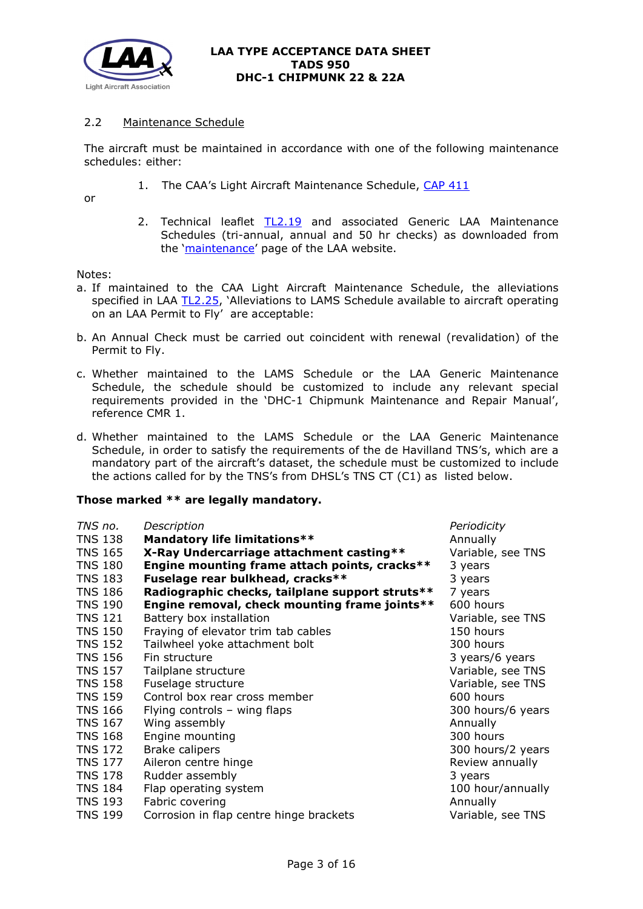

# 2.2 Maintenance Schedule

The aircraft must be maintained in accordance with one of the following maintenance schedules: either:

1. The CAA's Light Aircraft Maintenance Schedule, [CAP 411](http://publicapps.caa.co.uk/modalapplication.aspx?catid=1&pagetype=65&appid=11&mode=detail&id=204)

or

2. Technical leaflet [TL2.19](http://www.lightaircraftassociation.co.uk/engineering/TechnicalLeaflets/Operating%20An%20Aircraft/TL%202.19%20The%20LAA%20Generic%20Maintenance%20Schedule.pdf) and associated Generic LAA Maintenance Schedules (tri-annual, annual and 50 hr checks) as downloaded from the ['maintenance'](http://www.lightaircraftassociation.co.uk/engineering/Maintenance/Aircraft_Maintenance.html) page of the LAA website.

Notes:

- a. If maintained to the CAA Light Aircraft Maintenance Schedule, the alleviations specified in LAA [TL2.25,](http://www.lightaircraftassociation.co.uk/engineering/TechnicalLeaflets/Operating%20An%20Aircraft/TL%202.25%20Alleviations%20to%20LAMS%20schedule.pdf) 'Alleviations to LAMS Schedule available to aircraft operating on an LAA Permit to Fly' are acceptable:
- b. An Annual Check must be carried out coincident with renewal (revalidation) of the Permit to Fly.
- c. Whether maintained to the LAMS Schedule or the LAA Generic Maintenance Schedule, the schedule should be customized to include any relevant special requirements provided in the 'DHC-1 Chipmunk Maintenance and Repair Manual', reference CMR 1.
- d. Whether maintained to the LAMS Schedule or the LAA Generic Maintenance Schedule, in order to satisfy the requirements of the de Havilland TNS's, which are a mandatory part of the aircraft's dataset, the schedule must be customized to include the actions called for by the TNS's from DHSL's TNS CT (C1) as listed below.

### **Those marked \*\* are legally mandatory.**

| TNS no.        | Description                                     | Periodicity       |
|----------------|-------------------------------------------------|-------------------|
| <b>TNS 138</b> | <b>Mandatory life limitations**</b>             | Annually          |
| <b>TNS 165</b> | X-Ray Undercarriage attachment casting**        | Variable, see TNS |
| <b>TNS 180</b> | Engine mounting frame attach points, cracks**   | 3 years           |
| <b>TNS 183</b> | Fuselage rear bulkhead, cracks**                | 3 years           |
| <b>TNS 186</b> | Radiographic checks, tailplane support struts** | 7 years           |
| <b>TNS 190</b> | Engine removal, check mounting frame joints**   | 600 hours         |
| <b>TNS 121</b> | Battery box installation                        | Variable, see TNS |
| <b>TNS 150</b> | Fraying of elevator trim tab cables             | 150 hours         |
| <b>TNS 152</b> | Tailwheel yoke attachment bolt                  | 300 hours         |
| <b>TNS 156</b> | Fin structure                                   | 3 years/6 years   |
| <b>TNS 157</b> | Tailplane structure                             | Variable, see TNS |
| <b>TNS 158</b> | Fuselage structure                              | Variable, see TNS |
| <b>TNS 159</b> | Control box rear cross member                   | 600 hours         |
| <b>TNS 166</b> | Flying controls - wing flaps                    | 300 hours/6 years |
| <b>TNS 167</b> | Wing assembly                                   | Annually          |
|                |                                                 |                   |
| <b>TNS 168</b> | Engine mounting                                 | 300 hours         |
| <b>TNS 172</b> | <b>Brake calipers</b>                           | 300 hours/2 years |
| <b>TNS 177</b> | Aileron centre hinge                            | Review annually   |
| <b>TNS 178</b> | Rudder assembly                                 | 3 years           |
| <b>TNS 184</b> | Flap operating system                           | 100 hour/annually |
| <b>TNS 193</b> | Fabric covering                                 | Annually          |
| <b>TNS 199</b> | Corrosion in flap centre hinge brackets         | Variable, see TNS |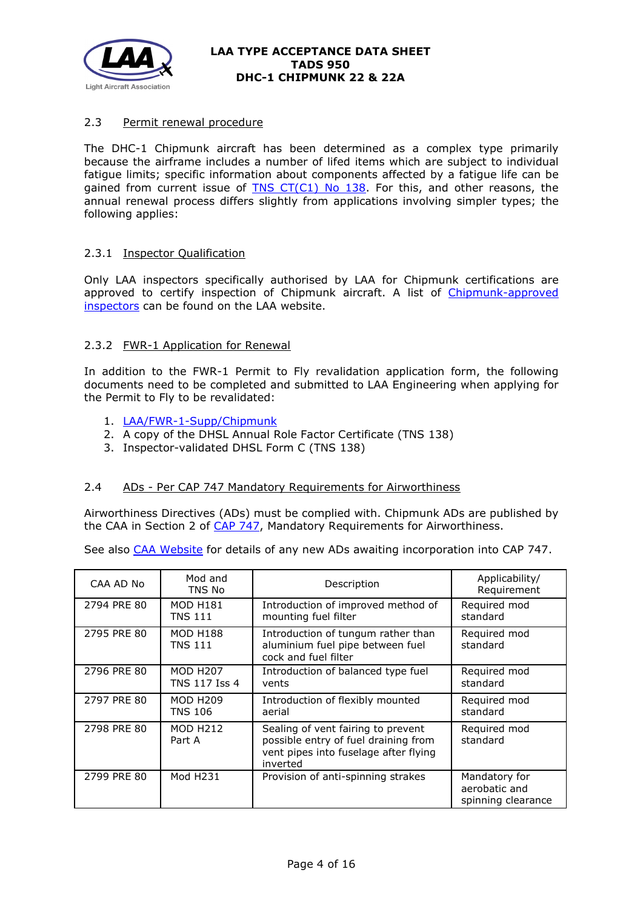

# 2.3 Permit renewal procedure

The DHC-1 Chipmunk aircraft has been determined as a complex type primarily because the airframe includes a number of lifed items which are subject to individual fatigue limits; specific information about components affected by a fatigue life can be gained from current issue of TNS  $CT(C1)$  No 138. For this, and other reasons, the annual renewal process differs slightly from applications involving simpler types; the following applies:

## 2.3.1 Inspector Qualification

Only LAA inspectors specifically authorised by LAA for Chipmunk certifications are approved to certify inspection of Chipmunk aircraft. A list of [Chipmunk-approved](http://www.lightaircraftassociation.co.uk/engineering/Inspection/Chipmunk%20Inspectors.pdf)  [inspectors](http://www.lightaircraftassociation.co.uk/engineering/Inspection/Chipmunk%20Inspectors.pdf) can be found on the LAA website.

## 2.3.2 FWR-1 Application for Renewal

In addition to the FWR-1 Permit to Fly revalidation application form, the following documents need to be completed and submitted to LAA Engineering when applying for the Permit to Fly to be revalidated:

- 1. [LAA/FWR-1-Supp/Chipmunk](http://www.lightaircraftassociation.co.uk/engineering/Inspection/FORM%20LAA%20FWR-1-Supp%20Chipmunk.docx)
- 2. A copy of the DHSL Annual Role Factor Certificate (TNS 138)
- 3. Inspector-validated DHSL Form C (TNS 138)

### 2.4 ADs - Per CAP 747 Mandatory Requirements for Airworthiness

Airworthiness Directives (ADs) must be complied with. Chipmunk ADs are published by the CAA in Section 2 of [CAP 747,](http://www.caa.co.uk/docs/33/CAP747.pdf) Mandatory Requirements for Airworthiness.

See also [CAA Website](https://www.caa.co.uk/Commercial-industry/Aircraft/Airworthiness/Continuing-airworthiness/Airworthiness-Directives/) for details of any new ADs awaiting incorporation into CAP 747.

| CAA AD No   | Mod and<br>TNS No                 | Description                                                                                                                     | Applicability/<br>Requirement                        |
|-------------|-----------------------------------|---------------------------------------------------------------------------------------------------------------------------------|------------------------------------------------------|
| 2794 PRE 80 | <b>MOD H181</b><br>TNS 111        | Introduction of improved method of<br>mounting fuel filter                                                                      | Required mod<br>standard                             |
| 2795 PRE 80 | <b>MOD H188</b><br><b>TNS 111</b> | Introduction of tungum rather than<br>aluminium fuel pipe between fuel<br>cock and fuel filter                                  | Required mod<br>standard                             |
| 2796 PRE 80 | <b>MOD H207</b><br>TNS 117 Iss 4  | Introduction of balanced type fuel<br>vents                                                                                     | Required mod<br>standard                             |
| 2797 PRE 80 | <b>MOD H209</b><br><b>TNS 106</b> | Introduction of flexibly mounted<br>aerial                                                                                      | Required mod<br>standard                             |
| 2798 PRE 80 | <b>MOD H212</b><br>Part A         | Sealing of vent fairing to prevent<br>possible entry of fuel draining from<br>vent pipes into fuselage after flying<br>inverted | Required mod<br>standard                             |
| 2799 PRE 80 | Mod H231                          | Provision of anti-spinning strakes                                                                                              | Mandatory for<br>aerobatic and<br>spinning clearance |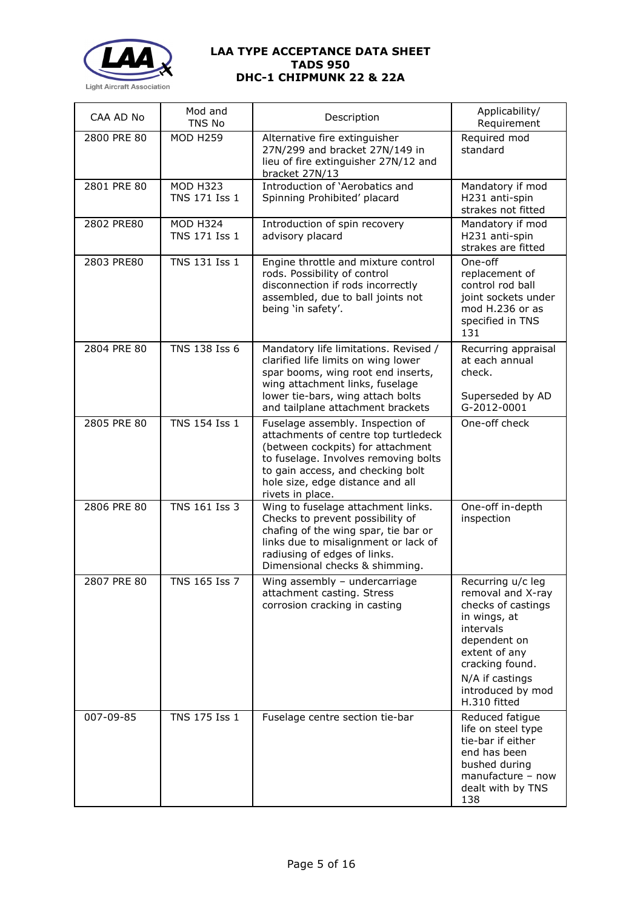

| CAA AD No   | Mod and<br>TNS No                | Description                                                                                                                                                                                                                                        | Applicability/<br>Requirement                                                                                                                                                                         |
|-------------|----------------------------------|----------------------------------------------------------------------------------------------------------------------------------------------------------------------------------------------------------------------------------------------------|-------------------------------------------------------------------------------------------------------------------------------------------------------------------------------------------------------|
| 2800 PRE 80 | <b>MOD H259</b>                  | Alternative fire extinguisher<br>27N/299 and bracket 27N/149 in<br>lieu of fire extinguisher 27N/12 and<br>bracket 27N/13                                                                                                                          | Required mod<br>standard                                                                                                                                                                              |
| 2801 PRE 80 | <b>MOD H323</b><br>TNS 171 Iss 1 | Introduction of 'Aerobatics and<br>Spinning Prohibited' placard                                                                                                                                                                                    | Mandatory if mod<br>H231 anti-spin<br>strakes not fitted                                                                                                                                              |
| 2802 PRE80  | <b>MOD H324</b><br>TNS 171 Iss 1 | Introduction of spin recovery<br>advisory placard                                                                                                                                                                                                  | Mandatory if mod<br>H231 anti-spin<br>strakes are fitted                                                                                                                                              |
| 2803 PRE80  | TNS 131 Iss 1                    | Engine throttle and mixture control<br>rods. Possibility of control<br>disconnection if rods incorrectly<br>assembled, due to ball joints not<br>being 'in safety'.                                                                                | One-off<br>replacement of<br>control rod ball<br>joint sockets under<br>mod H.236 or as<br>specified in TNS<br>131                                                                                    |
| 2804 PRE 80 | TNS 138 Iss 6                    | Mandatory life limitations. Revised /<br>clarified life limits on wing lower<br>spar booms, wing root end inserts,<br>wing attachment links, fuselage<br>lower tie-bars, wing attach bolts<br>and tailplane attachment brackets                    | Recurring appraisal<br>at each annual<br>check.<br>Superseded by AD<br>G-2012-0001                                                                                                                    |
| 2805 PRE 80 | TNS 154 Iss 1                    | Fuselage assembly. Inspection of<br>attachments of centre top turtledeck<br>(between cockpits) for attachment<br>to fuselage. Involves removing bolts<br>to gain access, and checking bolt<br>hole size, edge distance and all<br>rivets in place. | One-off check                                                                                                                                                                                         |
| 2806 PRE 80 | <b>TNS 161 Iss 3</b>             | Wing to fuselage attachment links.<br>Checks to prevent possibility of<br>chafing of the wing spar, tie bar or<br>links due to misalignment or lack of<br>radiusing of edges of links.<br>Dimensional checks & shimming.                           | One-off in-depth<br>inspection                                                                                                                                                                        |
| 2807 PRE 80 | TNS 165 Iss 7                    | Wing assembly - undercarriage<br>attachment casting. Stress<br>corrosion cracking in casting                                                                                                                                                       | Recurring u/c leg<br>removal and X-ray<br>checks of castings<br>in wings, at<br>intervals<br>dependent on<br>extent of any<br>cracking found.<br>N/A if castings<br>introduced by mod<br>H.310 fitted |
| 007-09-85   | TNS 175 Iss 1                    | Fuselage centre section tie-bar                                                                                                                                                                                                                    | Reduced fatigue<br>life on steel type<br>tie-bar if either<br>end has been<br>bushed during<br>manufacture - now<br>dealt with by TNS<br>138                                                          |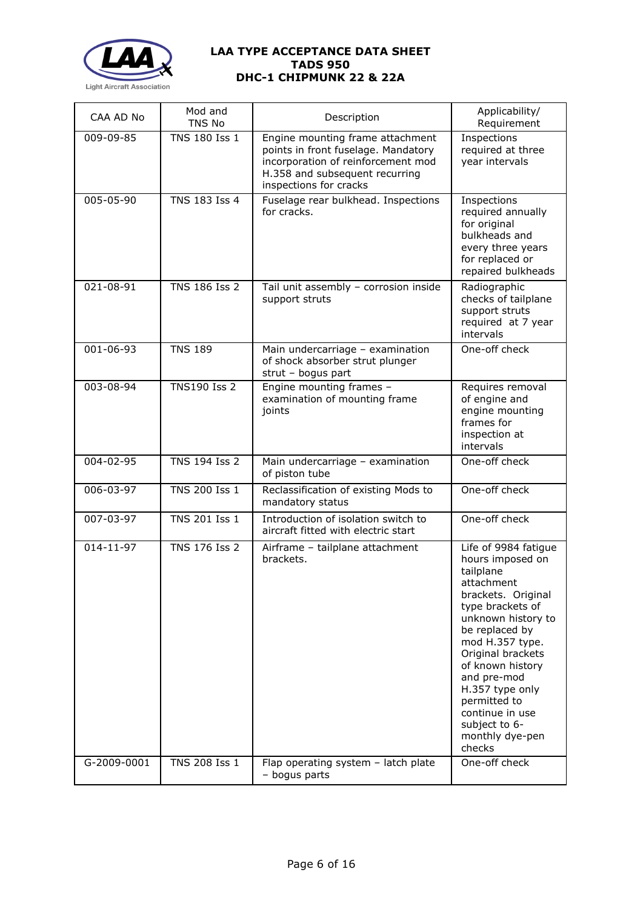

| CAA AD No   | Mod and<br>TNS No    | Description                                                                                                                                                               | Applicability/<br>Requirement                                                                                                                                                                                                                                                                                                        |
|-------------|----------------------|---------------------------------------------------------------------------------------------------------------------------------------------------------------------------|--------------------------------------------------------------------------------------------------------------------------------------------------------------------------------------------------------------------------------------------------------------------------------------------------------------------------------------|
| 009-09-85   | TNS 180 Iss 1        | Engine mounting frame attachment<br>points in front fuselage. Mandatory<br>incorporation of reinforcement mod<br>H.358 and subsequent recurring<br>inspections for cracks | Inspections<br>required at three<br>year intervals                                                                                                                                                                                                                                                                                   |
| 005-05-90   | TNS 183 Iss 4        | Fuselage rear bulkhead. Inspections<br>for cracks.                                                                                                                        | Inspections<br>required annually<br>for original<br>bulkheads and<br>every three years<br>for replaced or<br>repaired bulkheads                                                                                                                                                                                                      |
| 021-08-91   | TNS 186 Iss 2        | Tail unit assembly - corrosion inside<br>support struts                                                                                                                   | Radiographic<br>checks of tailplane<br>support struts<br>required at 7 year<br>intervals                                                                                                                                                                                                                                             |
| 001-06-93   | <b>TNS 189</b>       | Main undercarriage - examination<br>of shock absorber strut plunger<br>strut - bogus part                                                                                 | One-off check                                                                                                                                                                                                                                                                                                                        |
| 003-08-94   | <b>TNS190 Iss 2</b>  | Engine mounting frames -<br>examination of mounting frame<br>joints                                                                                                       | Requires removal<br>of engine and<br>engine mounting<br>frames for<br>inspection at<br>intervals                                                                                                                                                                                                                                     |
| 004-02-95   | TNS 194 Iss 2        | Main undercarriage - examination<br>of piston tube                                                                                                                        | One-off check                                                                                                                                                                                                                                                                                                                        |
| 006-03-97   | TNS 200 Iss 1        | Reclassification of existing Mods to<br>mandatory status                                                                                                                  | One-off check                                                                                                                                                                                                                                                                                                                        |
| 007-03-97   | TNS 201 Iss 1        | Introduction of isolation switch to<br>aircraft fitted with electric start                                                                                                | One-off check                                                                                                                                                                                                                                                                                                                        |
| 014-11-97   | <b>TNS 176 Iss 2</b> | Airframe - tailplane attachment<br>brackets.                                                                                                                              | Life of 9984 fatigue<br>hours imposed on<br>tailplane<br>attachment<br>brackets. Original<br>type brackets of<br>unknown history to<br>be replaced by<br>mod H.357 type.<br>Original brackets<br>of known history<br>and pre-mod<br>H.357 type only<br>permitted to<br>continue in use<br>subject to 6-<br>monthly dye-pen<br>checks |
| G-2009-0001 | TNS 208 Iss 1        | Flap operating system - latch plate<br>- bogus parts                                                                                                                      | One-off check                                                                                                                                                                                                                                                                                                                        |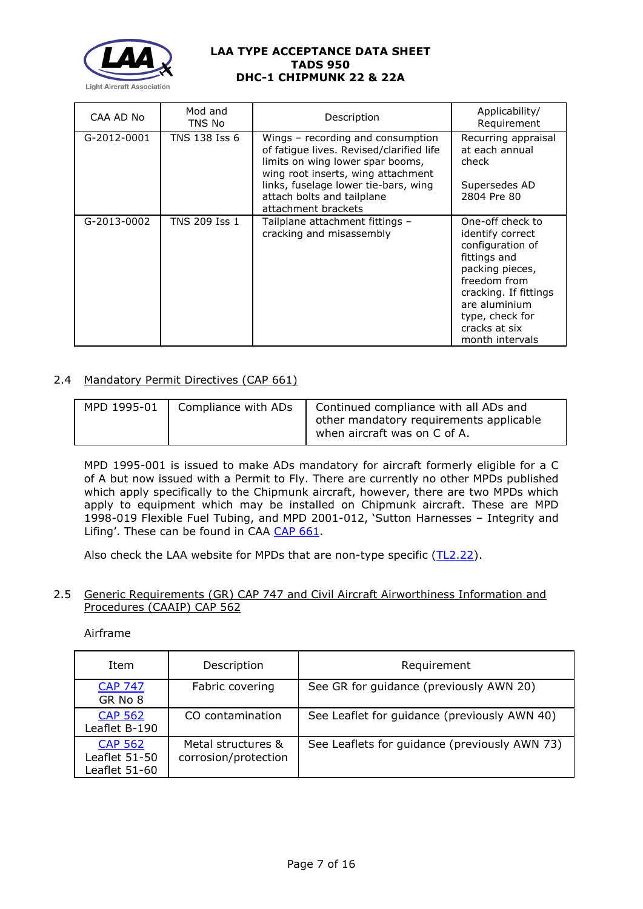

| CAA AD No   | Mod and<br>TNS No | Description                                                                                                                                                                                                                                          | Applicability/<br>Requirement                                                                                                                                                                                |
|-------------|-------------------|------------------------------------------------------------------------------------------------------------------------------------------------------------------------------------------------------------------------------------------------------|--------------------------------------------------------------------------------------------------------------------------------------------------------------------------------------------------------------|
| G-2012-0001 | TNS 138 Iss 6     | Wings – recording and consumption<br>of fatique lives. Revised/clarified life<br>limits on wing lower spar booms,<br>wing root inserts, wing attachment<br>links, fuselage lower tie-bars, wing<br>attach bolts and tailplane<br>attachment brackets | Recurring appraisal<br>at each annual<br>check<br>Supersedes AD<br>2804 Pre 80                                                                                                                               |
| G-2013-0002 | TNS 209 Iss 1     | Tailplane attachment fittings –<br>cracking and misassembly                                                                                                                                                                                          | One-off check to<br>identify correct<br>configuration of<br>fittings and<br>packing pieces,<br>freedom from<br>cracking. If fittings<br>are aluminium<br>type, check for<br>cracks at six<br>month intervals |

# 2.4 Mandatory Permit Directives (CAP 661)

| MPD 1995-01 | Compliance with ADs   Continued compliance with all ADs and<br>other mandatory requirements applicable<br>when aircraft was on C of A. |
|-------------|----------------------------------------------------------------------------------------------------------------------------------------|
|             |                                                                                                                                        |

MPD 1995-001 is issued to make ADs mandatory for aircraft formerly eligible for a C of A but now issued with a Permit to Fly. There are currently no other MPDs published which apply specifically to the Chipmunk aircraft, however, there are two MPDs which apply to equipment which may be installed on Chipmunk aircraft. These are MPD 1998-019 Flexible Fuel Tubing, and MPD 2001-012, 'Sutton Harnesses – Integrity and Lifing'. These can be found in CAA [CAP 661.](https://publicapps.caa.co.uk/docs/33/CAP661.PDF)

Also check the LAA website for MPDs that are non-type specific [\(TL2.22\)](http://www.lightaircraftassociation.co.uk/engineering/TechnicalLeaflets/Operating%20An%20Aircraft/TL%202.22%20non-type%20specific%20MPDs.pdf).

#### 2.5 Generic Requirements (GR) CAP 747 and Civil Aircraft Airworthiness Information and Procedures (CAAIP) CAP 562

## Airframe

| Item                                             | Description                                | Requirement                                   |
|--------------------------------------------------|--------------------------------------------|-----------------------------------------------|
| <b>CAP 747</b><br>GR No 8                        | Fabric covering                            | See GR for guidance (previously AWN 20)       |
| <b>CAP 562</b><br>Leaflet B-190                  | CO contamination                           | See Leaflet for guidance (previously AWN 40)  |
| <b>CAP 562</b><br>Leaflet 51-50<br>Leaflet 51-60 | Metal structures &<br>corrosion/protection | See Leaflets for guidance (previously AWN 73) |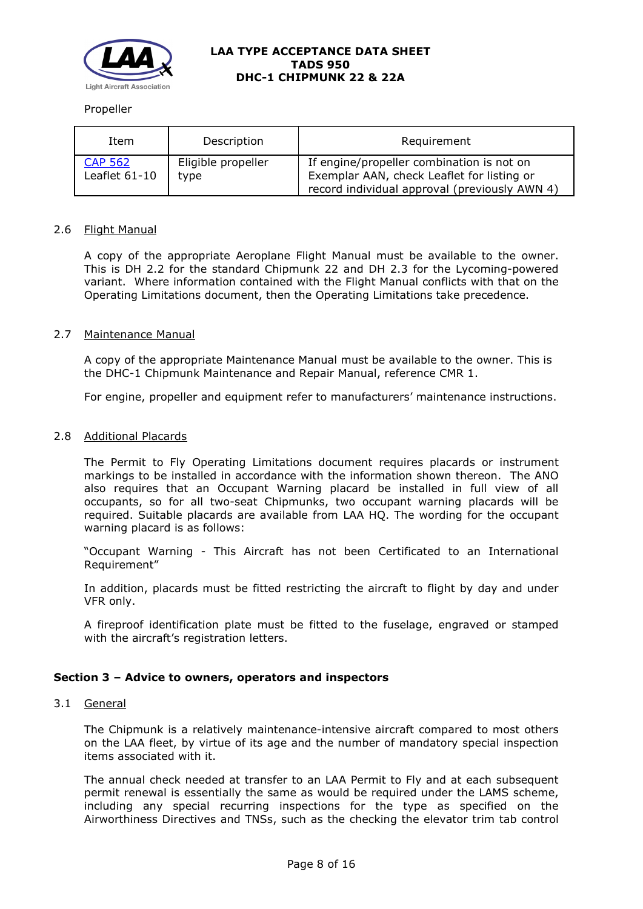

#### Propeller

| Item                     | Description                | Requirement                                                                                                                              |
|--------------------------|----------------------------|------------------------------------------------------------------------------------------------------------------------------------------|
| CAP 562<br>Leaflet 61-10 | Eligible propeller<br>type | If engine/propeller combination is not on<br>Exemplar AAN, check Leaflet for listing or<br>record individual approval (previously AWN 4) |

## 2.6 Flight Manual

A copy of the appropriate Aeroplane Flight Manual must be available to the owner. This is DH 2.2 for the standard Chipmunk 22 and DH 2.3 for the Lycoming-powered variant. Where information contained with the Flight Manual conflicts with that on the Operating Limitations document, then the Operating Limitations take precedence.

#### 2.7 Maintenance Manual

A copy of the appropriate Maintenance Manual must be available to the owner. This is the DHC-1 Chipmunk Maintenance and Repair Manual, reference CMR 1.

For engine, propeller and equipment refer to manufacturers' maintenance instructions.

#### 2.8 Additional Placards

The Permit to Fly Operating Limitations document requires placards or instrument markings to be installed in accordance with the information shown thereon. The ANO also requires that an Occupant Warning placard be installed in full view of all occupants, so for all two-seat Chipmunks, two occupant warning placards will be required. Suitable placards are available from LAA HQ. The wording for the occupant warning placard is as follows:

"Occupant Warning - This Aircraft has not been Certificated to an International Requirement"

In addition, placards must be fitted restricting the aircraft to flight by day and under VFR only.

A fireproof identification plate must be fitted to the fuselage, engraved or stamped with the aircraft's registration letters.

### **Section 3 – Advice to owners, operators and inspectors**

#### 3.1 General

The Chipmunk is a relatively maintenance-intensive aircraft compared to most others on the LAA fleet, by virtue of its age and the number of mandatory special inspection items associated with it.

The annual check needed at transfer to an LAA Permit to Fly and at each subsequent permit renewal is essentially the same as would be required under the LAMS scheme, including any special recurring inspections for the type as specified on the Airworthiness Directives and TNSs, such as the checking the elevator trim tab control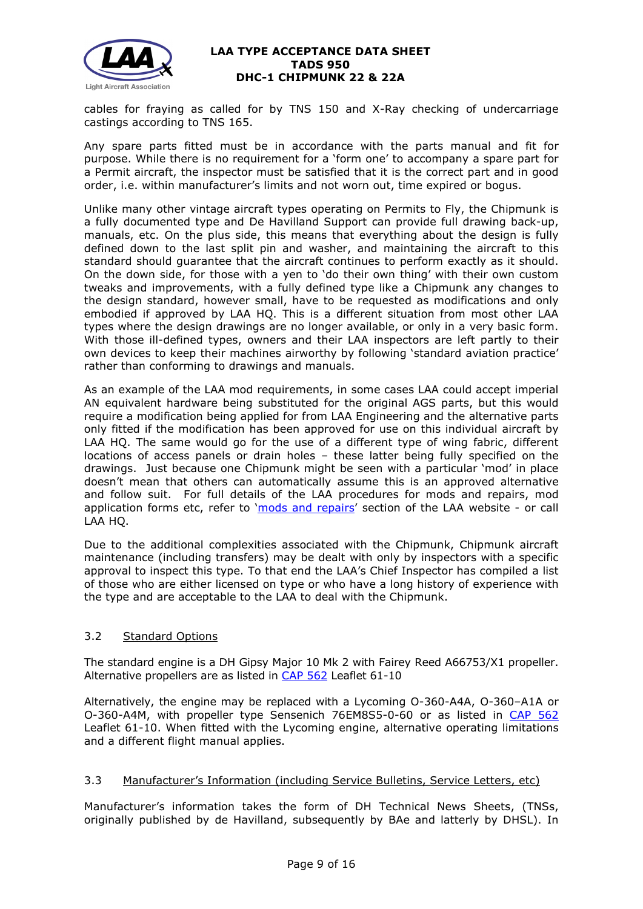

cables for fraying as called for by TNS 150 and X-Ray checking of undercarriage castings according to TNS 165.

Any spare parts fitted must be in accordance with the parts manual and fit for purpose. While there is no requirement for a 'form one' to accompany a spare part for a Permit aircraft, the inspector must be satisfied that it is the correct part and in good order, i.e. within manufacturer's limits and not worn out, time expired or bogus.

Unlike many other vintage aircraft types operating on Permits to Fly, the Chipmunk is a fully documented type and De Havilland Support can provide full drawing back-up, manuals, etc. On the plus side, this means that everything about the design is fully defined down to the last split pin and washer, and maintaining the aircraft to this standard should guarantee that the aircraft continues to perform exactly as it should. On the down side, for those with a yen to 'do their own thing' with their own custom tweaks and improvements, with a fully defined type like a Chipmunk any changes to the design standard, however small, have to be requested as modifications and only embodied if approved by LAA HQ. This is a different situation from most other LAA types where the design drawings are no longer available, or only in a very basic form. With those ill-defined types, owners and their LAA inspectors are left partly to their own devices to keep their machines airworthy by following 'standard aviation practice' rather than conforming to drawings and manuals.

As an example of the LAA mod requirements, in some cases LAA could accept imperial AN equivalent hardware being substituted for the original AGS parts, but this would require a modification being applied for from LAA Engineering and the alternative parts only fitted if the modification has been approved for use on this individual aircraft by LAA HQ. The same would go for the use of a different type of wing fabric, different locations of access panels or drain holes – these latter being fully specified on the drawings. Just because one Chipmunk might be seen with a particular 'mod' in place doesn't mean that others can automatically assume this is an approved alternative and follow suit. For full details of the LAA procedures for mods and repairs, mod application forms etc, refer to ['mods and repairs'](http://www.lightaircraftassociation.co.uk/engineering/NewMods/Mod_table.html) section of the LAA website - or call LAA HQ.

Due to the additional complexities associated with the Chipmunk, Chipmunk aircraft maintenance (including transfers) may be dealt with only by inspectors with a specific approval to inspect this type. To that end the LAA's Chief Inspector has compiled a list of those who are either licensed on type or who have a long history of experience with the type and are acceptable to the LAA to deal with the Chipmunk.

### 3.2 Standard Options

The standard engine is a DH Gipsy Major 10 Mk 2 with Fairey Reed A66753/X1 propeller. Alternative propellers are as listed in [CAP 562](http://publicapps.caa.co.uk/modalapplication.aspx?catid=1&pagetype=65&appid=11&mode=detail&id=92) Leaflet 61-10

Alternatively, the engine may be replaced with a Lycoming O-360-A4A, O-360–A1A or O-360-A4M, with propeller type Sensenich 76EM8S5-0-60 or as listed in [CAP 562](http://publicapps.caa.co.uk/modalapplication.aspx?catid=1&pagetype=65&appid=11&mode=detail&id=92) Leaflet 61-10. When fitted with the Lycoming engine, alternative operating limitations and a different flight manual applies.

# 3.3 Manufacturer's Information (including Service Bulletins, Service Letters, etc)

Manufacturer's information takes the form of DH Technical News Sheets, (TNSs, originally published by de Havilland, subsequently by BAe and latterly by DHSL). In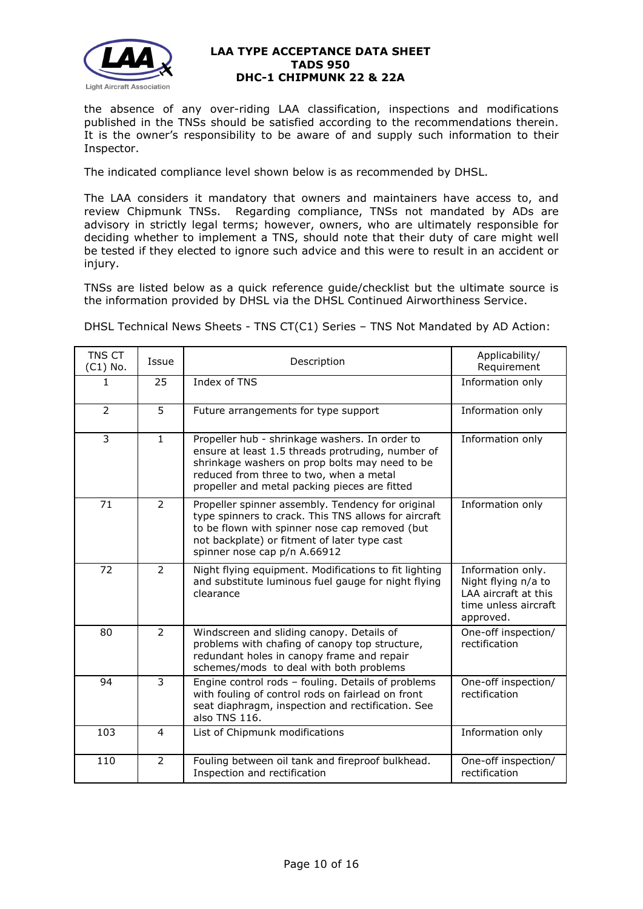

the absence of any over-riding LAA classification, inspections and modifications published in the TNSs should be satisfied according to the recommendations therein. It is the owner's responsibility to be aware of and supply such information to their Inspector.

The indicated compliance level shown below is as recommended by DHSL.

The LAA considers it mandatory that owners and maintainers have access to, and review Chipmunk TNSs. Regarding compliance, TNSs not mandated by ADs are advisory in strictly legal terms; however, owners, who are ultimately responsible for deciding whether to implement a TNS, should note that their duty of care might well be tested if they elected to ignore such advice and this were to result in an accident or injury.

TNSs are listed below as a quick reference guide/checklist but the ultimate source is the information provided by DHSL via the DHSL Continued Airworthiness Service.

DHSL Technical News Sheets - TNS CT(C1) Series – TNS Not Mandated by AD Action:

| <b>TNS CT</b><br>$(C1)$ No. | Issue          | Description                                                                                                                                                                                                                                       | Applicability/<br>Requirement                                                                         |
|-----------------------------|----------------|---------------------------------------------------------------------------------------------------------------------------------------------------------------------------------------------------------------------------------------------------|-------------------------------------------------------------------------------------------------------|
| 1                           | 25             | Index of TNS                                                                                                                                                                                                                                      | Information only                                                                                      |
| $\overline{2}$              | 5              | Future arrangements for type support                                                                                                                                                                                                              | Information only                                                                                      |
| 3                           | $\mathbf{1}$   | Propeller hub - shrinkage washers. In order to<br>ensure at least 1.5 threads protruding, number of<br>shrinkage washers on prop bolts may need to be<br>reduced from three to two, when a metal<br>propeller and metal packing pieces are fitted | Information only                                                                                      |
| 71                          | $\overline{2}$ | Propeller spinner assembly. Tendency for original<br>type spinners to crack. This TNS allows for aircraft<br>to be flown with spinner nose cap removed (but<br>not backplate) or fitment of later type cast<br>spinner nose cap p/n A.66912       | Information only                                                                                      |
| 72                          | 2              | Night flying equipment. Modifications to fit lighting<br>and substitute luminous fuel gauge for night flying<br>clearance                                                                                                                         | Information only.<br>Night flying n/a to<br>LAA aircraft at this<br>time unless aircraft<br>approved. |
| 80                          | $\overline{2}$ | Windscreen and sliding canopy. Details of<br>problems with chafing of canopy top structure,<br>redundant holes in canopy frame and repair<br>schemes/mods to deal with both problems                                                              | One-off inspection/<br>rectification                                                                  |
| 94                          | $\overline{3}$ | Engine control rods - fouling. Details of problems<br>with fouling of control rods on fairlead on front<br>seat diaphragm, inspection and rectification. See<br>also TNS 116.                                                                     | One-off inspection/<br>rectification                                                                  |
| 103                         | $\overline{4}$ | List of Chipmunk modifications                                                                                                                                                                                                                    | Information only                                                                                      |
| 110                         | $\overline{2}$ | Fouling between oil tank and fireproof bulkhead.<br>Inspection and rectification                                                                                                                                                                  | One-off inspection/<br>rectification                                                                  |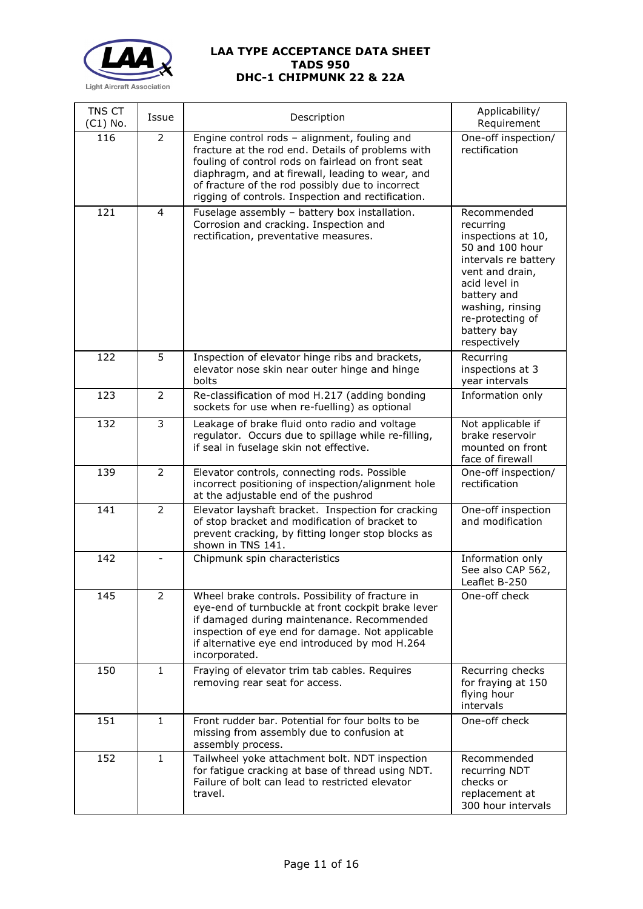

| TNS CT<br>$(C1)$ No. | Issue          | Description                                                                                                                                                                                                                                                                                                          | Applicability/<br>Requirement                                                                                                                                                                                       |
|----------------------|----------------|----------------------------------------------------------------------------------------------------------------------------------------------------------------------------------------------------------------------------------------------------------------------------------------------------------------------|---------------------------------------------------------------------------------------------------------------------------------------------------------------------------------------------------------------------|
| 116                  | $\overline{2}$ | Engine control rods - alignment, fouling and<br>fracture at the rod end. Details of problems with<br>fouling of control rods on fairlead on front seat<br>diaphragm, and at firewall, leading to wear, and<br>of fracture of the rod possibly due to incorrect<br>rigging of controls. Inspection and rectification. | One-off inspection/<br>rectification                                                                                                                                                                                |
| 121                  | $\overline{4}$ | Fuselage assembly - battery box installation.<br>Corrosion and cracking. Inspection and<br>rectification, preventative measures.                                                                                                                                                                                     | Recommended<br>recurring<br>inspections at 10,<br>50 and 100 hour<br>intervals re battery<br>vent and drain,<br>acid level in<br>battery and<br>washing, rinsing<br>re-protecting of<br>battery bay<br>respectively |
| 122                  | 5              | Inspection of elevator hinge ribs and brackets,<br>elevator nose skin near outer hinge and hinge<br>bolts                                                                                                                                                                                                            | Recurring<br>inspections at 3<br>year intervals                                                                                                                                                                     |
| 123                  | $\overline{2}$ | Re-classification of mod H.217 (adding bonding<br>sockets for use when re-fuelling) as optional                                                                                                                                                                                                                      | Information only                                                                                                                                                                                                    |
| 132                  | 3              | Leakage of brake fluid onto radio and voltage<br>regulator. Occurs due to spillage while re-filling,<br>if seal in fuselage skin not effective.                                                                                                                                                                      | Not applicable if<br>brake reservoir<br>mounted on front<br>face of firewall                                                                                                                                        |
| 139                  | $\overline{2}$ | Elevator controls, connecting rods. Possible<br>incorrect positioning of inspection/alignment hole<br>at the adjustable end of the pushrod                                                                                                                                                                           | One-off inspection/<br>rectification                                                                                                                                                                                |
| 141                  | $\overline{2}$ | Elevator layshaft bracket. Inspection for cracking<br>of stop bracket and modification of bracket to<br>prevent cracking, by fitting longer stop blocks as<br>shown in TNS 141.                                                                                                                                      | One-off inspection<br>and modification                                                                                                                                                                              |
| 142                  |                | Chipmunk spin characteristics                                                                                                                                                                                                                                                                                        | Information only<br>See also CAP 562,<br>Leaflet B-250                                                                                                                                                              |
| 145                  | $\overline{2}$ | Wheel brake controls. Possibility of fracture in<br>eye-end of turnbuckle at front cockpit brake lever<br>if damaged during maintenance. Recommended<br>inspection of eye end for damage. Not applicable<br>if alternative eye end introduced by mod H.264<br>incorporated.                                          | One-off check                                                                                                                                                                                                       |
| 150                  | $\mathbf{1}$   | Fraying of elevator trim tab cables. Requires<br>removing rear seat for access.                                                                                                                                                                                                                                      | Recurring checks<br>for fraying at 150<br>flying hour<br>intervals                                                                                                                                                  |
| 151                  | $\mathbf{1}$   | Front rudder bar. Potential for four bolts to be<br>missing from assembly due to confusion at<br>assembly process.                                                                                                                                                                                                   | One-off check                                                                                                                                                                                                       |
| 152                  | $\mathbf{1}$   | Tailwheel yoke attachment bolt. NDT inspection<br>for fatigue cracking at base of thread using NDT.<br>Failure of bolt can lead to restricted elevator<br>travel.                                                                                                                                                    | Recommended<br>recurring NDT<br>checks or<br>replacement at<br>300 hour intervals                                                                                                                                   |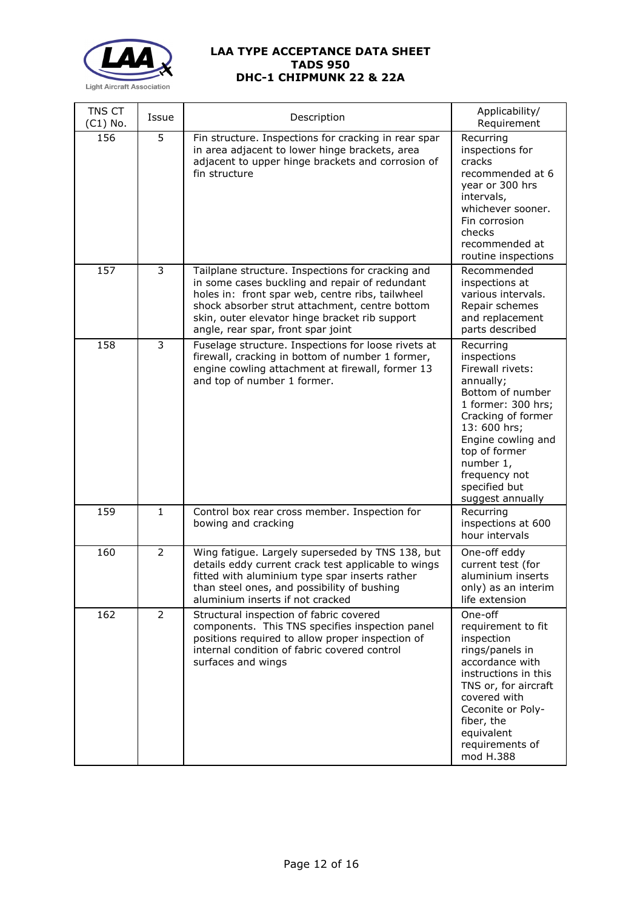

| TNS CT<br>$(C1)$ No. | Issue          | Description                                                                                                                                                                                                                                                                                       | Applicability/<br>Requirement                                                                                                                                                                                                                       |
|----------------------|----------------|---------------------------------------------------------------------------------------------------------------------------------------------------------------------------------------------------------------------------------------------------------------------------------------------------|-----------------------------------------------------------------------------------------------------------------------------------------------------------------------------------------------------------------------------------------------------|
| 156                  | 5              | Fin structure. Inspections for cracking in rear spar<br>in area adjacent to lower hinge brackets, area<br>adjacent to upper hinge brackets and corrosion of<br>fin structure                                                                                                                      | Recurring<br>inspections for<br>cracks<br>recommended at 6<br>year or 300 hrs<br>intervals,<br>whichever sooner.<br>Fin corrosion<br>checks<br>recommended at<br>routine inspections                                                                |
| 157                  | 3              | Tailplane structure. Inspections for cracking and<br>in some cases buckling and repair of redundant<br>holes in: front spar web, centre ribs, tailwheel<br>shock absorber strut attachment, centre bottom<br>skin, outer elevator hinge bracket rib support<br>angle, rear spar, front spar joint | Recommended<br>inspections at<br>various intervals.<br>Repair schemes<br>and replacement<br>parts described                                                                                                                                         |
| 158                  | 3              | Fuselage structure. Inspections for loose rivets at<br>firewall, cracking in bottom of number 1 former,<br>engine cowling attachment at firewall, former 13<br>and top of number 1 former.                                                                                                        | Recurring<br>inspections<br>Firewall rivets:<br>annually;<br>Bottom of number<br>1 former: 300 hrs;<br>Cracking of former<br>13: 600 hrs;<br>Engine cowling and<br>top of former<br>number 1,<br>frequency not<br>specified but<br>suggest annually |
| 159                  | $\mathbf{1}$   | Control box rear cross member. Inspection for<br>bowing and cracking                                                                                                                                                                                                                              | Recurring<br>inspections at 600<br>hour intervals                                                                                                                                                                                                   |
| 160                  | $\overline{2}$ | Wing fatigue. Largely superseded by TNS 138, but<br>details eddy current crack test applicable to wings<br>fitted with aluminium type spar inserts rather<br>than steel ones, and possibility of bushing<br>aluminium inserts if not cracked                                                      | One-off eddy<br>current test (for<br>aluminium inserts<br>only) as an interim<br>life extension                                                                                                                                                     |
| 162                  | $\overline{2}$ | Structural inspection of fabric covered<br>components. This TNS specifies inspection panel<br>positions required to allow proper inspection of<br>internal condition of fabric covered control<br>surfaces and wings                                                                              | One-off<br>requirement to fit<br>inspection<br>rings/panels in<br>accordance with<br>instructions in this<br>TNS or, for aircraft<br>covered with<br>Ceconite or Poly-<br>fiber, the<br>equivalent<br>requirements of<br>mod H.388                  |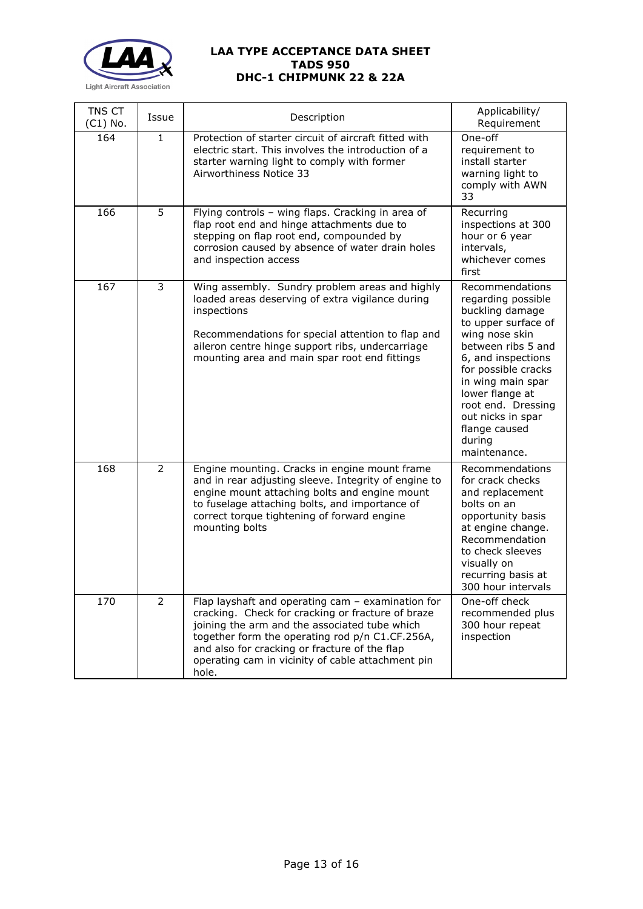

| TNS CT<br>$(C1)$ No. | Issue          | Description                                                                                                                                                                                                                                                                                                               | Applicability/<br>Requirement                                                                                                                                                                                                                                                                      |
|----------------------|----------------|---------------------------------------------------------------------------------------------------------------------------------------------------------------------------------------------------------------------------------------------------------------------------------------------------------------------------|----------------------------------------------------------------------------------------------------------------------------------------------------------------------------------------------------------------------------------------------------------------------------------------------------|
| 164                  | $\mathbf{1}$   | Protection of starter circuit of aircraft fitted with<br>electric start. This involves the introduction of a<br>starter warning light to comply with former<br>Airworthiness Notice 33                                                                                                                                    | One-off<br>requirement to<br>install starter<br>warning light to<br>comply with AWN<br>33                                                                                                                                                                                                          |
| 166                  | 5              | Flying controls - wing flaps. Cracking in area of<br>flap root end and hinge attachments due to<br>stepping on flap root end, compounded by<br>corrosion caused by absence of water drain holes<br>and inspection access                                                                                                  | Recurring<br>inspections at 300<br>hour or 6 year<br>intervals,<br>whichever comes<br>first                                                                                                                                                                                                        |
| 167                  | 3              | Wing assembly. Sundry problem areas and highly<br>loaded areas deserving of extra vigilance during<br>inspections<br>Recommendations for special attention to flap and<br>aileron centre hinge support ribs, undercarriage<br>mounting area and main spar root end fittings                                               | Recommendations<br>regarding possible<br>buckling damage<br>to upper surface of<br>wing nose skin<br>between ribs 5 and<br>6, and inspections<br>for possible cracks<br>in wing main spar<br>lower flange at<br>root end. Dressing<br>out nicks in spar<br>flange caused<br>during<br>maintenance. |
| 168                  | $\overline{2}$ | Engine mounting. Cracks in engine mount frame<br>and in rear adjusting sleeve. Integrity of engine to<br>engine mount attaching bolts and engine mount<br>to fuselage attaching bolts, and importance of<br>correct torque tightening of forward engine<br>mounting bolts                                                 | Recommendations<br>for crack checks<br>and replacement<br>bolts on an<br>opportunity basis<br>at engine change.<br>Recommendation<br>to check sleeves<br>visually on<br>recurring basis at<br>300 hour intervals                                                                                   |
| 170                  | $\overline{2}$ | Flap layshaft and operating cam - examination for<br>cracking. Check for cracking or fracture of braze<br>joining the arm and the associated tube which<br>together form the operating rod p/n C1.CF.256A,<br>and also for cracking or fracture of the flap<br>operating cam in vicinity of cable attachment pin<br>hole. | One-off check<br>recommended plus<br>300 hour repeat<br>inspection                                                                                                                                                                                                                                 |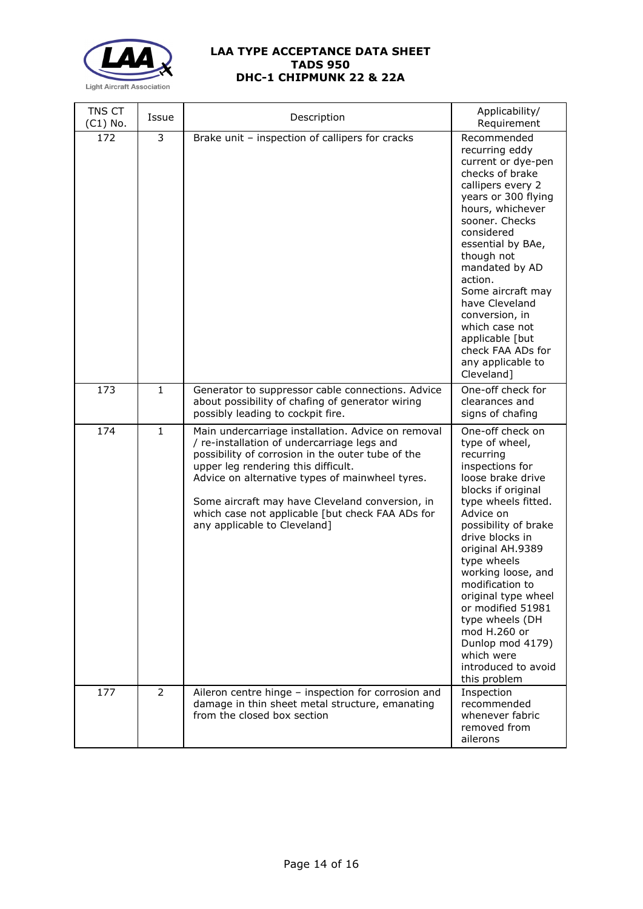

| TNS CT<br>$(C1)$ No. | Issue        | Description                                                                                                                                                                                                                                                                                                                                                                             | Applicability/<br>Requirement                                                                                                                                                                                                                                                                                                                                                                                                    |
|----------------------|--------------|-----------------------------------------------------------------------------------------------------------------------------------------------------------------------------------------------------------------------------------------------------------------------------------------------------------------------------------------------------------------------------------------|----------------------------------------------------------------------------------------------------------------------------------------------------------------------------------------------------------------------------------------------------------------------------------------------------------------------------------------------------------------------------------------------------------------------------------|
| 172                  | 3            | Brake unit - inspection of callipers for cracks                                                                                                                                                                                                                                                                                                                                         | Recommended<br>recurring eddy<br>current or dye-pen<br>checks of brake<br>callipers every 2<br>years or 300 flying<br>hours, whichever<br>sooner. Checks<br>considered<br>essential by BAe,<br>though not<br>mandated by AD<br>action.<br>Some aircraft may<br>have Cleveland<br>conversion, in<br>which case not<br>applicable [but<br>check FAA ADs for<br>any applicable to<br>Cleveland]                                     |
| 173                  | $\mathbf{1}$ | Generator to suppressor cable connections. Advice<br>about possibility of chafing of generator wiring<br>possibly leading to cockpit fire.                                                                                                                                                                                                                                              | One-off check for<br>clearances and<br>signs of chafing                                                                                                                                                                                                                                                                                                                                                                          |
| 174                  | $\mathbf{1}$ | Main undercarriage installation. Advice on removal<br>/ re-installation of undercarriage legs and<br>possibility of corrosion in the outer tube of the<br>upper leg rendering this difficult.<br>Advice on alternative types of mainwheel tyres.<br>Some aircraft may have Cleveland conversion, in<br>which case not applicable [but check FAA ADs for<br>any applicable to Cleveland] | One-off check on<br>type of wheel,<br>recurring<br>inspections for<br>loose brake drive<br>blocks if original<br>type wheels fitted.<br>Advice on<br>possibility of brake<br>drive blocks in<br>original AH.9389<br>type wheels<br>working loose, and<br>modification to<br>original type wheel<br>or modified 51981<br>type wheels (DH<br>mod H.260 or<br>Dunlop mod 4179)<br>which were<br>introduced to avoid<br>this problem |
| 177                  | 2            | Aileron centre hinge - inspection for corrosion and<br>damage in thin sheet metal structure, emanating<br>from the closed box section                                                                                                                                                                                                                                                   | Inspection<br>recommended<br>whenever fabric<br>removed from<br>ailerons                                                                                                                                                                                                                                                                                                                                                         |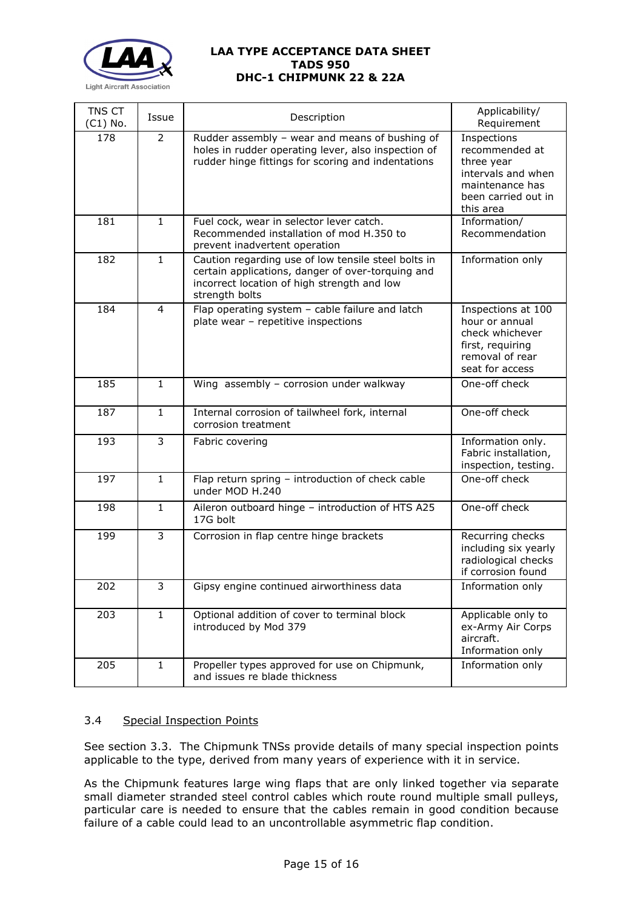

| TNS CT<br>$(C1)$ No. | Issue          | Description                                                                                                                                                               | Applicability/<br>Requirement                                                                                            |
|----------------------|----------------|---------------------------------------------------------------------------------------------------------------------------------------------------------------------------|--------------------------------------------------------------------------------------------------------------------------|
| 178                  | $\overline{2}$ | Rudder assembly - wear and means of bushing of<br>holes in rudder operating lever, also inspection of<br>rudder hinge fittings for scoring and indentations               | Inspections<br>recommended at<br>three year<br>intervals and when<br>maintenance has<br>been carried out in<br>this area |
| 181                  | $\mathbf{1}$   | Fuel cock, wear in selector lever catch.<br>Recommended installation of mod H.350 to<br>prevent inadvertent operation                                                     | Information/<br>Recommendation                                                                                           |
| 182                  | $\mathbf{1}$   | Caution regarding use of low tensile steel bolts in<br>certain applications, danger of over-torquing and<br>incorrect location of high strength and low<br>strength bolts | Information only                                                                                                         |
| 184                  | $\overline{4}$ | Flap operating system - cable failure and latch<br>plate wear - repetitive inspections                                                                                    | Inspections at 100<br>hour or annual<br>check whichever<br>first, requiring<br>removal of rear<br>seat for access        |
| 185                  | $\mathbf{1}$   | Wing assembly - corrosion under walkway                                                                                                                                   | One-off check                                                                                                            |
| 187                  | $\mathbf{1}$   | Internal corrosion of tailwheel fork, internal<br>corrosion treatment                                                                                                     | One-off check                                                                                                            |
| 193                  | 3              | Fabric covering                                                                                                                                                           | Information only.<br>Fabric installation,<br>inspection, testing.                                                        |
| 197                  | $\mathbf{1}$   | Flap return spring - introduction of check cable<br>under MOD H.240                                                                                                       | One-off check                                                                                                            |
| 198                  | $\mathbf{1}$   | Aileron outboard hinge - introduction of HTS A25<br>17G bolt                                                                                                              | One-off check                                                                                                            |
| 199                  | 3              | Corrosion in flap centre hinge brackets                                                                                                                                   | Recurring checks<br>including six yearly<br>radiological checks<br>if corrosion found                                    |
| 202                  | 3              | Gipsy engine continued airworthiness data                                                                                                                                 | Information only                                                                                                         |
| 203                  | $\mathbf{1}$   | Optional addition of cover to terminal block<br>introduced by Mod 379                                                                                                     | Applicable only to<br>ex-Army Air Corps<br>aircraft.<br>Information only                                                 |
| 205                  | $\mathbf{1}$   | Propeller types approved for use on Chipmunk,<br>and issues re blade thickness                                                                                            | Information only                                                                                                         |

# 3.4 Special Inspection Points

See section 3.3. The Chipmunk TNSs provide details of many special inspection points applicable to the type, derived from many years of experience with it in service.

As the Chipmunk features large wing flaps that are only linked together via separate small diameter stranded steel control cables which route round multiple small pulleys, particular care is needed to ensure that the cables remain in good condition because failure of a cable could lead to an uncontrollable asymmetric flap condition.